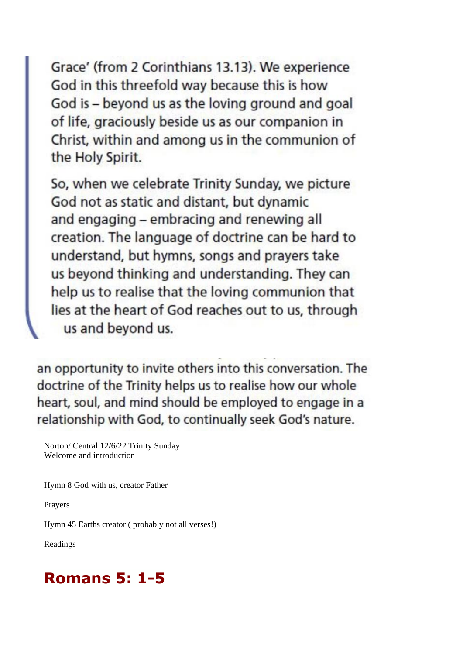Grace' (from 2 Corinthians 13.13). We experience God in this threefold way because this is how God is - beyond us as the loving ground and goal of life, graciously beside us as our companion in Christ, within and among us in the communion of the Holy Spirit.

So, when we celebrate Trinity Sunday, we picture God not as static and distant, but dynamic and engaging - embracing and renewing all creation. The language of doctrine can be hard to understand, but hymns, songs and prayers take us beyond thinking and understanding. They can help us to realise that the loving communion that lies at the heart of God reaches out to us, through us and beyond us.

an opportunity to invite others into this conversation. The doctrine of the Trinity helps us to realise how our whole heart, soul, and mind should be employed to engage in a relationship with God, to continually seek God's nature.

Norton/ Central 12/6/22 Trinity Sunday Welcome and introduction

Hymn 8 God with us, creator Father

Prayers

Hymn 45 Earths creator ( probably not all verses!)

Readings

## **Romans 5: 1-5**